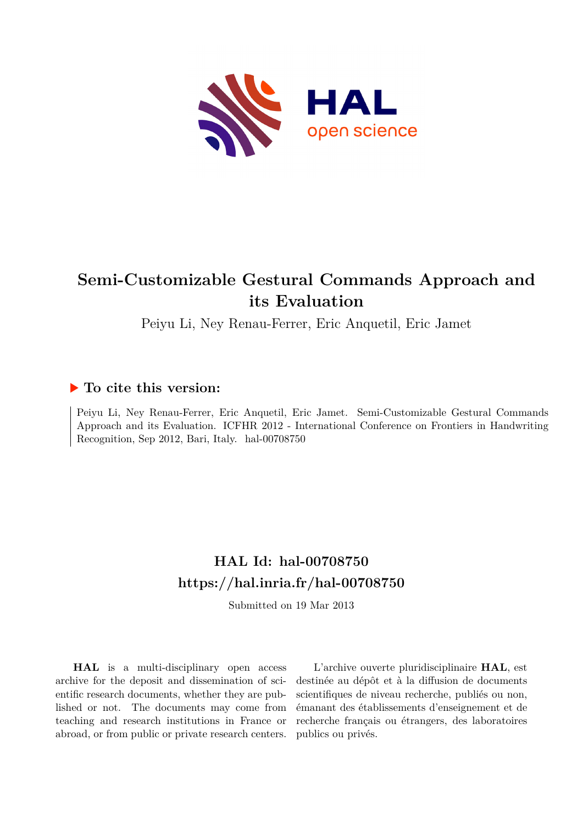

# **Semi-Customizable Gestural Commands Approach and its Evaluation**

Peiyu Li, Ney Renau-Ferrer, Eric Anquetil, Eric Jamet

### **To cite this version:**

Peiyu Li, Ney Renau-Ferrer, Eric Anquetil, Eric Jamet. Semi-Customizable Gestural Commands Approach and its Evaluation. ICFHR 2012 - International Conference on Frontiers in Handwriting Recognition, Sep 2012, Bari, Italy. hal-00708750

## **HAL Id: hal-00708750 <https://hal.inria.fr/hal-00708750>**

Submitted on 19 Mar 2013

**HAL** is a multi-disciplinary open access archive for the deposit and dissemination of scientific research documents, whether they are published or not. The documents may come from teaching and research institutions in France or abroad, or from public or private research centers.

L'archive ouverte pluridisciplinaire **HAL**, est destinée au dépôt et à la diffusion de documents scientifiques de niveau recherche, publiés ou non, émanant des établissements d'enseignement et de recherche français ou étrangers, des laboratoires publics ou privés.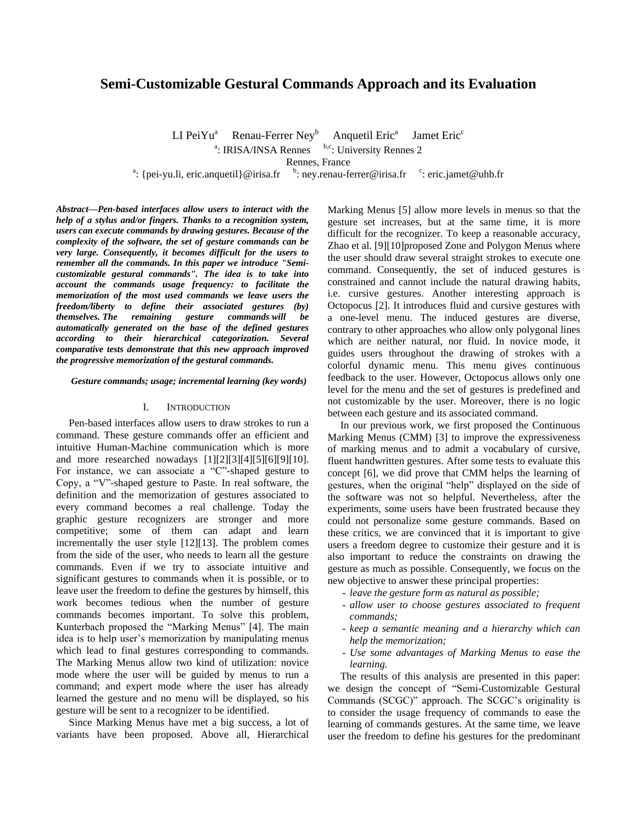### **Semi-Customizable Gestural Commands Approach and its Evaluation**

 $LI$  Pei $Yu^a$ Renau-Ferrer Ney<sup>b</sup> Anquetil Eric<sup>a</sup> Jamet Eric<sup>c</sup> <sup>a</sup>: IRISA/INSA Rennes  $b.c.$ : University Rennes 2 Rennes, France

<sup>a</sup>: {pei-yu.li, eric.anquetil}@irisa.fr b: ney.renau-ferrer@irisa.fr c: eric.jamet@uhb.fr

*Abstract***—***Pen-based interfaces allow users to interact with the help of a stylus and/or fingers. Thanks to a recognition system, users can execute commands by drawing gestures. Because of the complexity of the software, the set of gesture commands can be very large. Consequently, it becomes difficult for the users to remember all the commands. In this paper we introduce "Semicustomizable gestural commands". The idea is to take into account the commands usage frequency: to facilitate the memorization of the most used commands we leave users the freedom/liberty to define their associated gestures (by) themselves. The remaining gesture commands will be automatically generated on the base of the defined gestures according to their hierarchical categorization. Several comparative tests demonstrate that this new approach improved the progressive memorization of the gestural commands.*

#### *Gesture commands; usage; incremental learning (key words)*

#### I. INTRODUCTION

Pen-based interfaces allow users to draw strokes to run a command. These gesture commands offer an efficient and intuitive Human-Machine communication which is more and more researched nowadays [\[1\]\[2\]](#page-6-0)[\[3\]\[4\]](#page-6-1)[\[5\]\[6\]](#page-6-2)[\[9\]\[10\].](#page-6-3) For instance, we can associate a "C"-shaped gesture to Copy, a "V"-shaped gesture to Paste. In real software, the definition and the memorization of gestures associated to every command becomes a real challenge. Today the graphic gesture recognizers are stronger and more competitive; some of them can adapt and learn incrementally the user style [\[12\]\[13\].](#page-6-4) The problem comes from the side of the user, who needs to learn all the gesture commands. Even if we try to associate intuitive and significant gestures to commands when it is possible, or to leave user the freedom to define the gestures by himself, this work becomes tedious when the number of gesture commands becomes important. To solve this problem, Kunterbach proposed the "Marking Menus" [\[4\].](#page-6-5) The main idea is to help user's memorization by manipulating menus which lead to final gestures corresponding to commands. The Marking Menus allow two kind of utilization: novice mode where the user will be guided by menus to run a command; and expert mode where the user has already learned the gesture and no menu will be displayed, so his gesture will be sent to a recognizer to be identified.

Since Marking Menus have met a big success, a lot of variants have been proposed. Above all, Hierarchical

Marking Menus [\[5\]](#page-6-2) allow more levels in menus so that the gesture set increases, but at the same time, it is more difficult for the recognizer. To keep a reasonable accuracy, Zhao et al. [\[9\]\[10\]p](#page-6-3)roposed Zone and Polygon Menus where the user should draw several straight strokes to execute one command. Consequently, the set of induced gestures is constrained and cannot include the natural drawing habits, i.e. cursive gestures. Another interesting approach is Octopocus [\[2\].](#page-6-6) It introduces fluid and cursive gestures with a one-level menu. The induced gestures are diverse, contrary to other approaches who allow only polygonal lines which are neither natural, nor fluid. In novice mode, it guides users throughout the drawing of strokes with a colorful dynamic menu. This menu gives continuous feedback to the user. However, Octopocus allows only one level for the menu and the set of gestures is predefined and not customizable by the user. Moreover, there is no logic between each gesture and its associated command.

In our previous work, we first proposed the Continuous Marking Menus (CMM) [\[3\]](#page-6-1) to improve the expressiveness of marking menus and to admit a vocabulary of cursive, fluent handwritten gestures. After some tests to evaluate this concept [\[6\],](#page-6-7) we did prove that CMM helps the learning of gestures, when the original "help" displayed on the side of the software was not so helpful. Nevertheless, after the experiments, some users have been frustrated because they could not personalize some gesture commands. Based on these critics, we are convinced that it is important to give users a freedom degree to customize their gesture and it is also important to reduce the constraints on drawing the gesture as much as possible. Consequently, we focus on the new objective to answer these principal properties:

- *leave the gesture form as natural as possible;*
- *allow user to choose gestures associated to frequent commands;*
- *keep a semantic meaning and a hierarchy which can help the memorization;*
- *Use some advantages of Marking Menus to ease the learning.*

The results of this analysis are presented in this paper: we design the concept of "Semi-Customizable Gestural Commands (SCGC)" approach. The SCGC's originality is to consider the usage frequency of commands to ease the learning of commands gestures. At the same time, we leave user the freedom to define his gestures for the predominant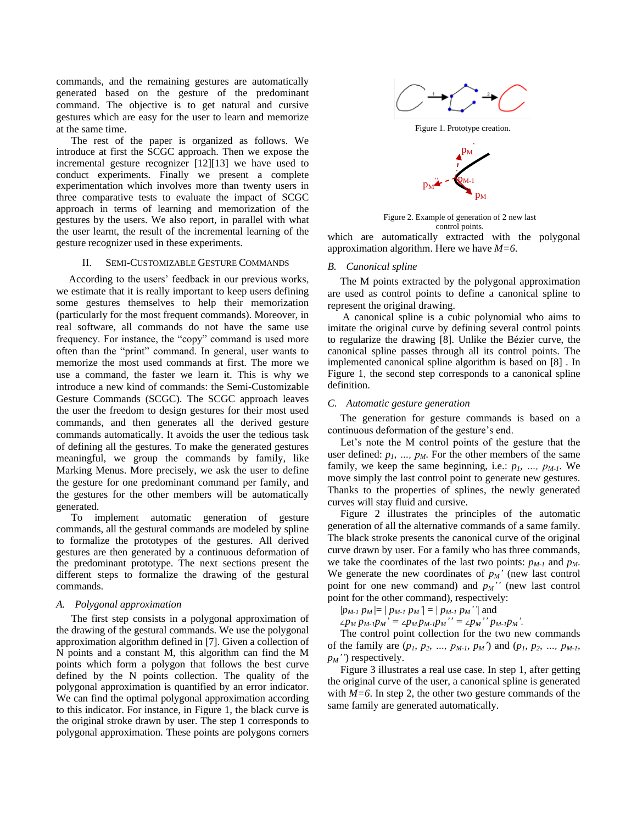commands, and the remaining gestures are automatically generated based on the gesture of the predominant command. The objective is to get natural and cursive gestures which are easy for the user to learn and memorize at the same time.

The rest of the paper is organized as follows. We introduce at first the SCGC approach. Then we expose the incremental gesture recognizer [\[12\]\[13\]](#page-6-4) we have used to conduct experiments. Finally we present a complete experimentation which involves more than twenty users in three comparative tests to evaluate the impact of SCGC approach in terms of learning and memorization of the gestures by the users. We also report, in parallel with what the user learnt, the result of the incremental learning of the gesture recognizer used in these experiments.

#### II. SEMI-CUSTOMIZABLE GESTURE COMMANDS

According to the users' feedback in our previous works, we estimate that it is really important to keep users defining some gestures themselves to help their memorization (particularly for the most frequent commands). Moreover, in real software, all commands do not have the same use frequency. For instance, the "copy" command is used more often than the "print" command. In general, user wants to memorize the most used commands at first. The more we use a command, the faster we learn it. This is why we introduce a new kind of commands: the Semi-Customizable Gesture Commands (SCGC). The SCGC approach leaves the user the freedom to design gestures for their most used commands, and then generates all the derived gesture commands automatically. It avoids the user the tedious task of defining all the gestures. To make the generated gestures meaningful, we group the commands by family, like Marking Menus. More precisely, we ask the user to define the gesture for one predominant command per family, and the gestures for the other members will be automatically generated.

To implement automatic generation of gesture commands, all the gestural commands are modeled by spline to formalize the prototypes of the gestures. All derived gestures are then generated by a continuous deformation of the predominant prototype. The next sections present the different steps to formalize the drawing of the gestural commands.

#### *A. Polygonal approximation*

The first step consists in a polygonal approximation of the drawing of the gestural commands. We use the polygonal approximation algorithm defined in [\[7\].](#page-6-8) Given a collection of N points and a constant M, this algorithm can find the M points which form a polygon that follows the best curve defined by the N points collection. The quality of the polygonal approximation is quantified by an error indicator. We can find the optimal polygonal approximation according to this indicator. For instance, in [Figure 1,](#page-2-0) the black curve is the original stroke drawn by user. The step 1 corresponds to polygonal approximation. These points are polygons corners

<span id="page-2-0"></span>

<span id="page-2-1"></span>which are automatically extracted with the polygonal approximation algorithm. Here we have *M=6*.

#### *B. Canonical spline*

The M points extracted by the polygonal approximation are used as control points to define a canonical spline to represent the original drawing.

A canonical spline is a cubic polynomial who aims to imitate the original curve by defining several control points to regularize the drawing [\[8\].](#page-6-9) Unlike the Bézier curve, the canonical spline passes through all its control points. The implemented canonical spline algorithm is based on [\[8\]](#page-6-9) . In [Figure 1](#page-2-0), the second step corresponds to a canonical spline definition.

#### *C. Automatic gesture generation*

The generation for gesture commands is based on a continuous deformation of the gesture's end.

Let's note the M control points of the gesture that the user defined:  $p_1$ , ...,  $p_M$ . For the other members of the same family, we keep the same beginning, i.e.:  $p_1$ , ...,  $p_{M-1}$ . We move simply the last control point to generate new gestures. Thanks to the properties of splines, the newly generated curves will stay fluid and cursive.

[Figure 2](#page-2-1) illustrates the principles of the automatic generation of all the alternative commands of a same family. The black stroke presents the canonical curve of the original curve drawn by user. For a family who has three commands, we take the coordinates of the last two points:  $p_{M-1}$  and  $p_M$ . We generate the new coordinates of  $p_M$ <sup>'</sup> (new last control point for one new command) and  $p_M$ <sup>"</sup> (new last control point for the other command), respectively:

 $|p_{M-1} p_M| = |p_{M-1} p_M'| = |p_{M-1} p_M'|$  and  $\angle$ *p<sub>M</sub></sub>*  $p$ *<sub><i>M*-1</sub> $p$ <sub>*M</sub>*<sup> $\prime$ </sup> =  $\angle$ *p*<sub>*M*</sub><sup> $\prime$ </sup>*n*<sub>*M*</sub> $\angle$ *n*<sup> $\prime$ </sup>*P<sub><i>M*-1*p*<sub>*M*</sub><sup> $\prime$ </sup>.</sub></sub>

The control point collection for the two new commands of the family are  $(p_1, p_2, ..., p_{M-1}, p_M)$  and  $(p_1, p_2, ..., p_{M-1},$ *pM''*) respectively.

[Figure 3](#page-3-0) illustrates a real use case. In step 1, after getting the original curve of the user, a canonical spline is generated with  $M=6$ . In step 2, the other two gesture commands of the same family are generated automatically.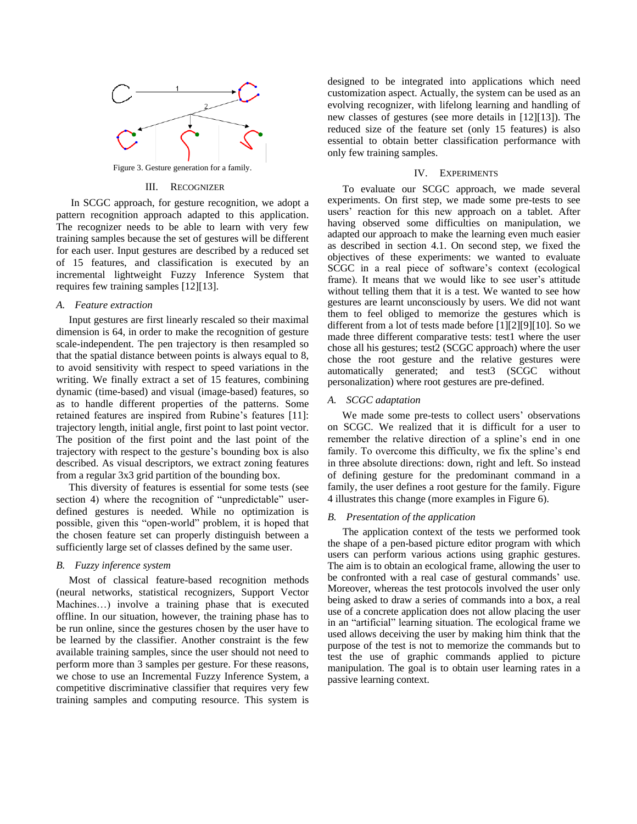

Figure 3. Gesture generation for a family.

#### III. RECOGNIZER

<span id="page-3-0"></span>In SCGC approach, for gesture recognition, we adopt a pattern recognition approach adapted to this application. The recognizer needs to be able to learn with very few training samples because the set of gestures will be different for each user. Input gestures are described by a reduced set of 15 features, and classification is executed by an incremental lightweight Fuzzy Inference System that requires few training samples [\[12\]\[13\].](#page-6-4)

#### *A. Feature extraction*

Input gestures are first linearly rescaled so their maximal dimension is 64, in order to make the recognition of gesture scale-independent. The pen trajectory is then resampled so that the spatial distance between points is always equal to 8, to avoid sensitivity with respect to speed variations in the writing. We finally extract a set of 15 features, combining dynamic (time-based) and visual (image-based) features, so as to handle different properties of the patterns. Some retained features are inspired from Rubine's features [\[11\]:](#page-6-10) trajectory length, initial angle, first point to last point vector. The position of the first point and the last point of the trajectory with respect to the gesture's bounding box is also described. As visual descriptors, we extract zoning features from a regular 3x3 grid partition of the bounding box.

This diversity of features is essential for some tests (see section 4) where the recognition of "unpredictable" userdefined gestures is needed. While no optimization is possible, given this "open-world" problem, it is hoped that the chosen feature set can properly distinguish between a sufficiently large set of classes defined by the same user.

#### *B. Fuzzy inference system*

Most of classical feature-based recognition methods (neural networks, statistical recognizers, Support Vector Machines…) involve a training phase that is executed offline. In our situation, however, the training phase has to be run online, since the gestures chosen by the user have to be learned by the classifier. Another constraint is the few available training samples, since the user should not need to perform more than 3 samples per gesture. For these reasons, we chose to use an Incremental Fuzzy Inference System, a competitive discriminative classifier that requires very few training samples and computing resource. This system is designed to be integrated into applications which need customization aspect. Actually, the system can be used as an evolving recognizer, with lifelong learning and handling of new classes of gestures (see more details in [\[12\]\[13\]\)](#page-6-4). The reduced size of the feature set (only 15 features) is also essential to obtain better classification performance with only few training samples.

#### IV. EXPERIMENTS

To evaluate our SCGC approach, we made several experiments. On first step, we made some pre-tests to see users' reaction for this new approach on a tablet. After having observed some difficulties on manipulation, we adapted our approach to make the learning even much easier as described in section 4.1. On second step, we fixed the objectives of these experiments: we wanted to evaluate SCGC in a real piece of software's context (ecological frame). It means that we would like to see user's attitude without telling them that it is a test. We wanted to see how gestures are learnt unconsciously by users. We did not want them to feel obliged to memorize the gestures which is different from a lot of tests made before [\[1\]\[2\]](#page-6-0)[\[9\]\[10\].](#page-6-3) So we made three different comparative tests: test1 where the user chose all his gestures; test2 (SCGC approach) where the user chose the root gesture and the relative gestures were automatically generated; and test3 (SCGC without personalization) where root gestures are pre-defined.

#### *A. SCGC adaptation*

We made some pre-tests to collect users' observations on SCGC. We realized that it is difficult for a user to remember the relative direction of a spline's end in one family. To overcome this difficulty, we fix the spline's end in three absolute directions: down, right and left. So instead of defining gesture for the predominant command in a family, the user defines a root gesture for the family. [Figure](#page-4-0)  [4](#page-4-0) illustrates this change (more examples i[n Figure 6\)](#page-4-1).

#### *B. Presentation of the application*

The application context of the tests we performed took the shape of a pen-based picture editor program with which users can perform various actions using graphic gestures. The aim is to obtain an ecological frame, allowing the user to be confronted with a real case of gestural commands' use. Moreover, whereas the test protocols involved the user only being asked to draw a series of commands into a box, a real use of a concrete application does not allow placing the user in an "artificial" learning situation. The ecological frame we used allows deceiving the user by making him think that the purpose of the test is not to memorize the commands but to test the use of graphic commands applied to picture manipulation. The goal is to obtain user learning rates in a passive learning context.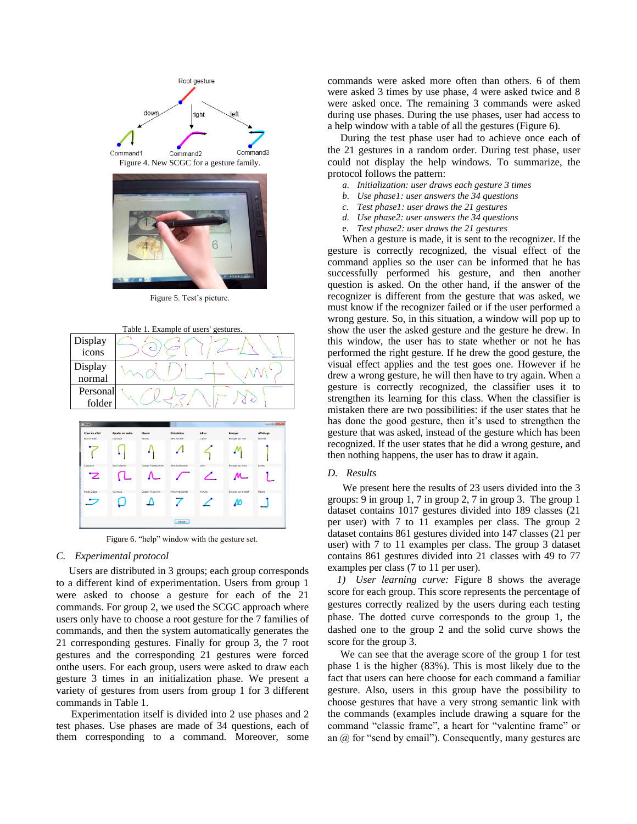<span id="page-4-0"></span>

Figure 5. Test's picture.

<span id="page-4-2"></span>

Figure 6. "help" window with the gesture set.

#### <span id="page-4-1"></span>*C. Experimental protocol*

Users are distributed in 3 groups; each group corresponds to a different kind of experimentation. Users from group 1 were asked to choose a gesture for each of the 21 commands. For group 2, we used the SCGC approach where users only have to choose a root gesture for the 7 families of commands, and then the system automatically generates the 21 corresponding gestures. Finally for group 3, the 7 root gestures and the corresponding 21 gestures were forced onthe users. For each group, users were asked to draw each gesture 3 times in an initialization phase. We present a variety of gestures from users from group 1 for 3 different commands in [Table 1.](#page-4-2)

Experimentation itself is divided into 2 use phases and 2 test phases. Use phases are made of 34 questions, each of them corresponding to a command. Moreover, some

commands were asked more often than others. 6 of them were asked 3 times by use phase, 4 were asked twice and 8 were asked once. The remaining 3 commands were asked during use phases. During the use phases, user had access to a help window with a table of all the gestures [\(Figure 6\)](#page-4-1).

During the test phase user had to achieve once each of the 21 gestures in a random order. During test phase, user could not display the help windows. To summarize, the protocol follows the pattern:

- *a. Initialization: user draws each gesture 3 times*
- *b. Use phase1: user answers the 34 questions*
- *c. Test phase1: user draws the 21 gestures*
- *d. Use phase2: user answers the 34 questions*
- e. *Test phase2: user draws the 21 gestures*

When a gesture is made, it is sent to the recognizer. If the gesture is correctly recognized, the visual effect of the command applies so the user can be informed that he has successfully performed his gesture, and then another question is asked. On the other hand, if the answer of the recognizer is different from the gesture that was asked, we must know if the recognizer failed or if the user performed a wrong gesture. So, in this situation, a window will pop up to show the user the asked gesture and the gesture he drew. In this window, the user has to state whether or not he has performed the right gesture. If he drew the good gesture, the visual effect applies and the test goes one. However if he drew a wrong gesture, he will then have to try again. When a gesture is correctly recognized, the classifier uses it to strengthen its learning for this class. When the classifier is mistaken there are two possibilities: if the user states that he has done the good gesture, then it's used to strengthen the gesture that was asked, instead of the gesture which has been recognized. If the user states that he did a wrong gesture, and then nothing happens, the user has to draw it again.

#### *D. Results*

We present here the results of 23 users divided into the 3 groups: 9 in group 1, 7 in group 2, 7 in group 3. The group 1 dataset contains 1017 gestures divided into 189 classes (21 per user) with 7 to 11 examples per class. The group 2 dataset contains 861 gestures divided into 147 classes (21 per user) with 7 to 11 examples per class. The group 3 dataset contains 861 gestures divided into 21 classes with 49 to 77 examples per class (7 to 11 per user).

*1) User learning curve:* [Figure 8](#page-5-0) shows the average score for each group. This score represents the percentage of gestures correctly realized by the users during each testing phase. The dotted curve corresponds to the group 1, the dashed one to the group 2 and the solid curve shows the score for the group 3.

We can see that the average score of the group 1 for test phase 1 is the higher (83%). This is most likely due to the fact that users can here choose for each command a familiar gesture. Also, users in this group have the possibility to choose gestures that have a very strong semantic link with the commands (examples include drawing a square for the command "classic frame", a heart for "valentine frame" or an  $\omega$  for "send by email"). Consequently, many gestures are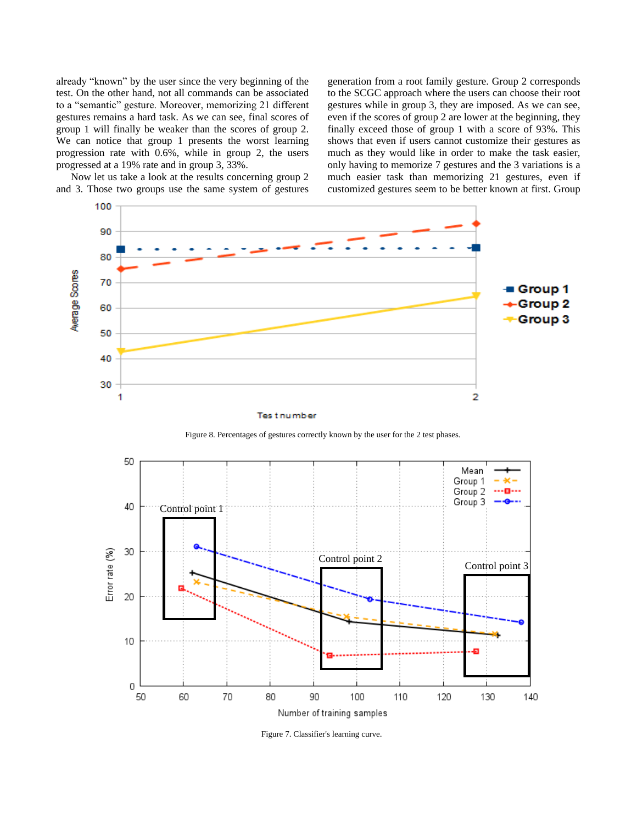already "known" by the user since the very beginning of the test. On the other hand, not all commands can be associated to a "semantic" gesture. Moreover, memorizing 21 different gestures remains a hard task. As we can see, final scores of group 1 will finally be weaker than the scores of group 2. We can notice that group 1 presents the worst learning progression rate with 0.6%, while in group 2, the users progressed at a 19% rate and in group 3, 33%.

Now let us take a look at the results concerning group 2 and 3. Those two groups use the same system of gestures generation from a root family gesture. Group 2 corresponds to the SCGC approach where the users can choose their root gestures while in group 3, they are imposed. As we can see, even if the scores of group 2 are lower at the beginning, they finally exceed those of group 1 with a score of 93%. This shows that even if users cannot customize their gestures as much as they would like in order to make the task easier, only having to memorize 7 gestures and the 3 variations is a much easier task than memorizing 21 gestures, even if customized gestures seem to be better known at first. Group



<span id="page-5-0"></span>Figure 8. Percentages of gestures correctly known by the user for the 2 test phases.



<span id="page-5-1"></span>Figure 7. Classifier's learning curve.